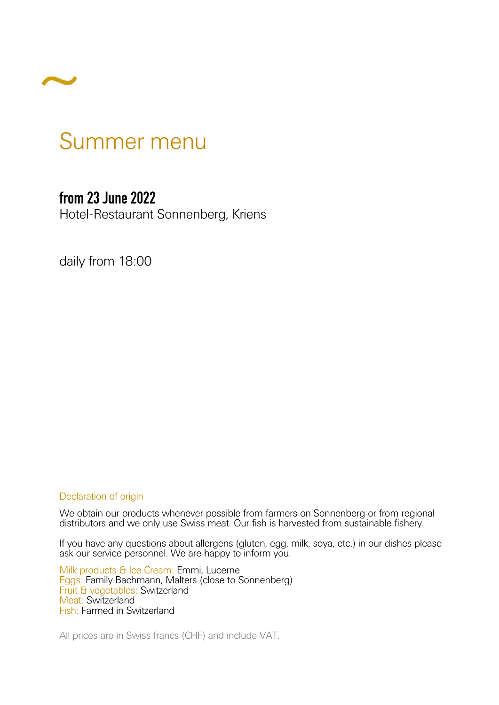

# Summer menu

#### **from 23 June 2022**

Hotel-Restaurant Sonnenberg, Kriens

daily from 18:00

#### Declaration of origin

We obtain our products whenever possible from farmers on Sonnenberg or from regional distributors and we only use Swiss meat. Our fish is harvested from sustainable fishery.

If you have any questions about allergens (gluten, egg, milk, soya, etc.) in our dishes please ask our service personnel. We are happy to inform you.

Milk products & Ice Cream: Emmi, Lucerne Eggs: Family Bachmann, Malters (close to Sonnenberg) Fruit & vegetables: Switzerland Meat: Switzerland Fish: Farmed in Switzerland

All prices are in Swiss francs (CHF) and include VAT.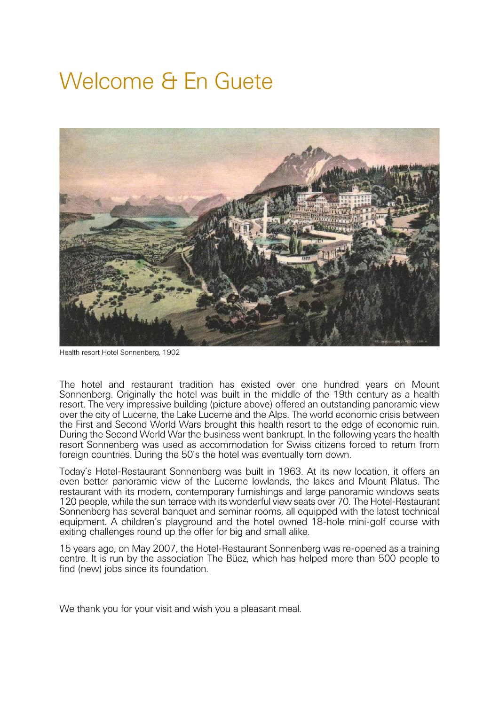# Welcome & En Guete



Health resort Hotel Sonnenberg, 1902

The hotel and restaurant tradition has existed over one hundred years on Mount Sonnenberg. Originally the hotel was built in the middle of the 19th century as a health resort. The very impressive building (picture above) offered an outstanding panoramic view over the city of Lucerne, the Lake Lucerne and the Alps. The world economic crisis between the First and Second World Wars brought this health resort to the edge of economic ruin. During the Second World War the business went bankrupt. In the following years the health resort Sonnenberg was used as accommodation for Swiss citizens forced to return from foreign countries. During the 50's the hotel was eventually torn down.

Today's Hotel-Restaurant Sonnenberg was built in 1963. At its new location, it offers an even better panoramic view of the Lucerne lowlands, the lakes and Mount Pilatus. The restaurant with its modern, contemporary furnishings and large panoramic windows seats 120 people, while the sun terrace with its wonderful view seats over 70. The Hotel-Restaurant Sonnenberg has several banquet and seminar rooms, all equipped with the latest technical equipment. A children's playground and the hotel owned 18-hole mini-golf course with exiting challenges round up the offer for big and small alike.

15 years ago, on May 2007, the Hotel-Restaurant Sonnenberg was re-opened as a training centre. It is run by the association The Büez, which has helped more than 500 people to find (new) jobs since its foundation.

We thank you for your visit and wish you a pleasant meal.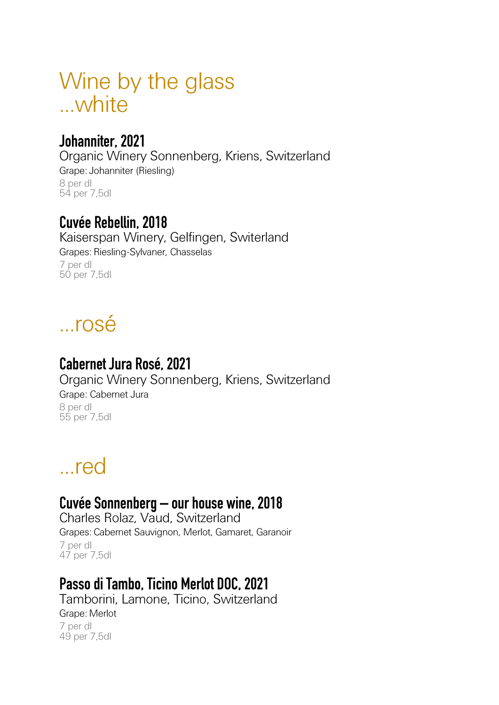# Wine by the glass ...white

### **Johanniter, 2021**

Organic Winery Sonnenberg, Kriens, Switzerland Grape: Johanniter (Riesling) 8 per dl 54 per 7,5dl

### **Cuvée Rebellin, 2018**

Kaiserspan Winery, Gelfingen, Switerland Grapes: Riesling-Sylvaner, Chasselas 7 per dl 50 per 7,5dl

# ...rosé

# **Cabernet Jura Rosé, 2021**

Organic Winery Sonnenberg, Kriens, Switzerland Grape: Cabernet Jura 8 per dl 55 per 7,5dl

# ...red

### **Cuvée Sonnenberg – our house wine, 2018**

Charles Rolaz, Vaud, Switzerland Grapes: Cabernet Sauvignon, Merlot, Gamaret, Garanoir 7 per dl 47 per 7,5dl

# **Passo di Tambo, Ticino Merlot DOC, 2021**

Tamborini, Lamone, Ticino, Switzerland Grape: Merlot 7 per dl 49 per 7,5dl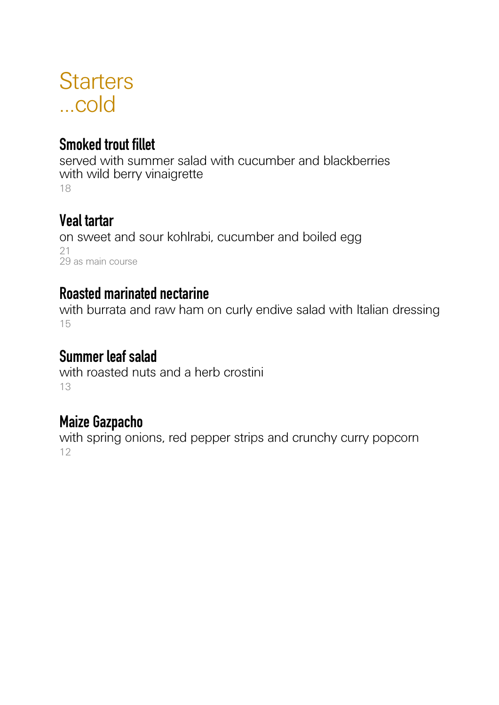# **Starters** ...cold

# **Smoked trout fillet**

served with summer salad with cucumber and blackberries with wild berry vinaigrette 18

### **Veal tartar**

on sweet and sour kohlrabi, cucumber and boiled egg 21 29 as main course

### **Roasted marinated nectarine**

with burrata and raw ham on curly endive salad with Italian dressing 15

### **Summer leaf salad**

with roasted nuts and a herb crostini 13

# **Maize Gazpacho**

with spring onions, red pepper strips and crunchy curry popcorn 12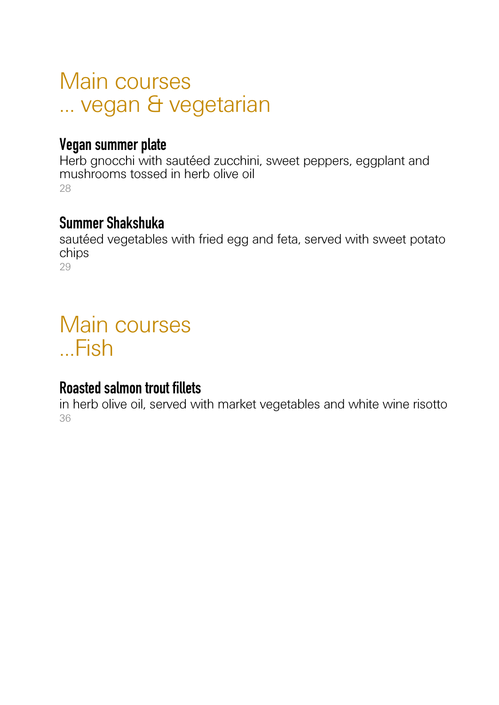# Main courses ... vegan & vegetarian

#### **Vegan summer plate**

Herb gnocchi with sautéed zucchini, sweet peppers, eggplant and mushrooms tossed in herb olive oil 28

#### **Summer Shakshuka**

sautéed vegetables with fried egg and feta, served with sweet potato chips 29

# Main courses ...Fish

### **Roasted salmon trout fillets**

in herb olive oil, served with market vegetables and white wine risotto 36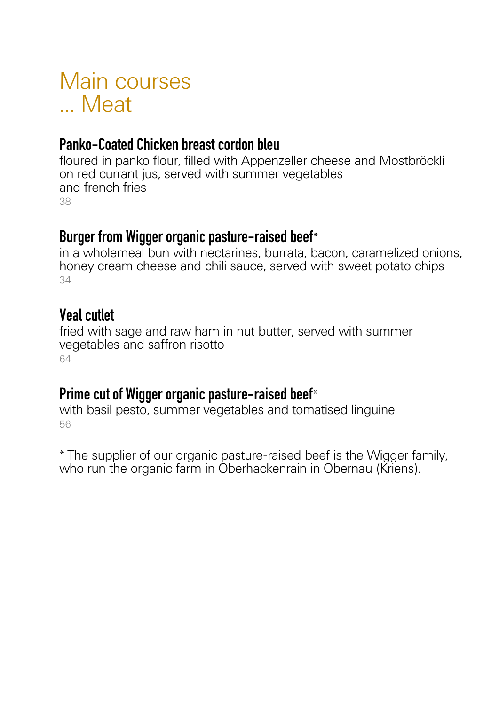# Main courses ... Meat

### **Panko-Coated Chicken breast cordon bleu**

floured in panko flour, filled with Appenzeller cheese and Mostbröckli on red currant jus, served with summer vegetables and french fries 38

#### **Burger from Wigger organic pasture-raised beef**\*

in a wholemeal bun with nectarines, burrata, bacon, caramelized onions, honey cream cheese and chili sauce, served with sweet potato chips 34

#### **Veal cutlet**

fried with sage and raw ham in nut butter, served with summer vegetables and saffron risotto 64

#### **Prime cut of Wigger organic pasture-raised beef**\*

with basil pesto, summer vegetables and tomatised linguine 56

\* The supplier of our organic pasture-raised beef is the Wigger family, who run the organic farm in Oberhackenrain in Obernau (Kriens).